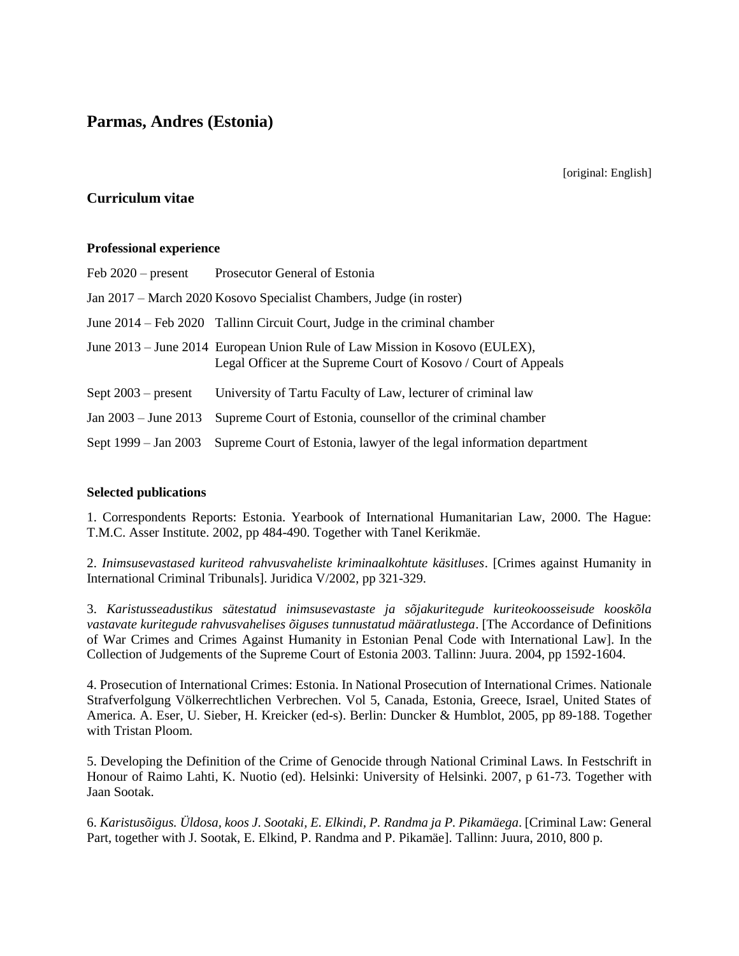# **Parmas, Andres (Estonia)**

[original: English]

## **Curriculum vitae**

### **Professional experience**

| Feb $2020$ – present                                                | Prosecutor General of Estonia                                                                                                                  |  |  |
|---------------------------------------------------------------------|------------------------------------------------------------------------------------------------------------------------------------------------|--|--|
| Jan 2017 – March 2020 Kosovo Specialist Chambers, Judge (in roster) |                                                                                                                                                |  |  |
|                                                                     | June 2014 – Feb 2020 Tallinn Circuit Court, Judge in the criminal chamber                                                                      |  |  |
|                                                                     | June 2013 – June 2014 European Union Rule of Law Mission in Kosovo (EULEX),<br>Legal Officer at the Supreme Court of Kosovo / Court of Appeals |  |  |
| Sept $2003$ – present                                               | University of Tartu Faculty of Law, lecturer of criminal law                                                                                   |  |  |
| Jan $2003 -$ June $2013$                                            | Supreme Court of Estonia, counsellor of the criminal chamber                                                                                   |  |  |
| Sept 1999 – Jan 2003                                                | Supreme Court of Estonia, lawyer of the legal information department                                                                           |  |  |

### **Selected publications**

1. Correspondents Reports: Estonia. Yearbook of International Humanitarian Law, 2000. The Hague: T.M.C. Asser Institute. 2002, pp 484-490. Together with Tanel Kerikmäe.

2. *Inimsusevastased kuriteod rahvusvaheliste kriminaalkohtute käsitluses*. [Crimes against Humanity in International Criminal Tribunals]. Juridica V/2002, pp 321-329.

3. *Karistusseadustikus sätestatud inimsusevastaste ja sõjakuritegude kuriteokoosseisude kooskõla vastavate kuritegude rahvusvahelises õiguses tunnustatud määratlustega*. [The Accordance of Definitions of War Crimes and Crimes Against Humanity in Estonian Penal Code with International Law]. In the Collection of Judgements of the Supreme Court of Estonia 2003. Tallinn: Juura. 2004, pp 1592-1604.

4. Prosecution of International Crimes: Estonia. In National Prosecution of International Crimes. Nationale Strafverfolgung Völkerrechtlichen Verbrechen. Vol 5, Canada, Estonia, Greece, Israel, United States of America. A. Eser, U. Sieber, H. Kreicker (ed-s). Berlin: Duncker & Humblot, 2005, pp 89-188. Together with Tristan Ploom.

5. Developing the Definition of the Crime of Genocide through National Criminal Laws. In Festschrift in Honour of Raimo Lahti, K. Nuotio (ed). Helsinki: University of Helsinki. 2007, p 61-73. Together with Jaan Sootak.

6. *Karistusõigus. Üldosa, koos J. Sootaki, E. Elkindi, P. Randma ja P. Pikamäega*. [Criminal Law: General Part, together with J. Sootak, E. Elkind, P. Randma and P. Pikamäe]. Tallinn: Juura, 2010, 800 p.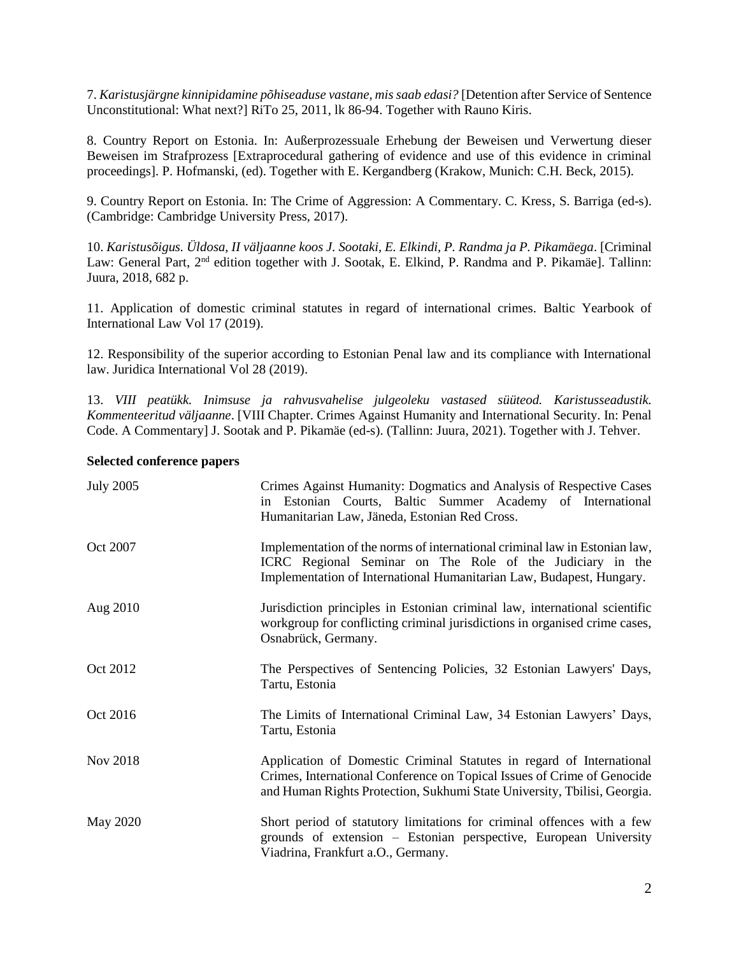7. *Karistusjärgne kinnipidamine põhiseaduse vastane, mis saab edasi?* [Detention after Service of Sentence Unconstitutional: What next?] RiTo 25, 2011, lk 86-94. Together with Rauno Kiris.

8. Country Report on Estonia. In: Außerprozessuale Erhebung der Beweisen und Verwertung dieser Beweisen im Strafprozess [Extraprocedural gathering of evidence and use of this evidence in criminal proceedings]. P. Hofmanski, (ed). Together with E. Kergandberg (Krakow, Munich: C.H. Beck, 2015).

9. Country Report on Estonia. In: The Crime of Aggression: A Commentary. C. Kress, S. Barriga (ed-s). (Cambridge: Cambridge University Press, 2017).

10. *Karistusõigus. Üldosa, II väljaanne koos J. Sootaki, E. Elkindi, P. Randma ja P. Pikamäega*. [Criminal Law: General Part, 2<sup>nd</sup> edition together with J. Sootak, E. Elkind, P. Randma and P. Pikamäe]. Tallinn: Juura, 2018, 682 p.

11. Application of domestic criminal statutes in regard of international crimes. Baltic Yearbook of International Law Vol 17 (2019).

12. Responsibility of the superior according to Estonian Penal law and its compliance with International law. Juridica International Vol 28 (2019).

13. *VIII peatükk. Inimsuse ja rahvusvahelise julgeoleku vastased süüteod. Karistusseadustik. Kommenteeritud väljaanne*. [VIII Chapter. Crimes Against Humanity and International Security. In: Penal Code. A Commentary] J. Sootak and P. Pikamäe (ed-s). (Tallinn: Juura, 2021). Together with J. Tehver.

#### **Selected conference papers**

| <b>July 2005</b> | Crimes Against Humanity: Dogmatics and Analysis of Respective Cases<br>in Estonian Courts, Baltic Summer Academy of International<br>Humanitarian Law, Jäneda, Estonian Red Cross.                                          |
|------------------|-----------------------------------------------------------------------------------------------------------------------------------------------------------------------------------------------------------------------------|
| Oct 2007         | Implementation of the norms of international criminal law in Estonian law,<br>ICRC Regional Seminar on The Role of the Judiciary in the<br>Implementation of International Humanitarian Law, Budapest, Hungary.             |
| Aug 2010         | Jurisdiction principles in Estonian criminal law, international scientific<br>workgroup for conflicting criminal jurisdictions in organised crime cases,<br>Osnabrück, Germany.                                             |
| Oct 2012         | The Perspectives of Sentencing Policies, 32 Estonian Lawyers' Days,<br>Tartu, Estonia                                                                                                                                       |
| Oct 2016         | The Limits of International Criminal Law, 34 Estonian Lawyers' Days,<br>Tartu, Estonia                                                                                                                                      |
| Nov 2018         | Application of Domestic Criminal Statutes in regard of International<br>Crimes, International Conference on Topical Issues of Crime of Genocide<br>and Human Rights Protection, Sukhumi State University, Tbilisi, Georgia. |
| May 2020         | Short period of statutory limitations for criminal offences with a few<br>grounds of extension - Estonian perspective, European University<br>Viadrina, Frankfurt a.O., Germany.                                            |